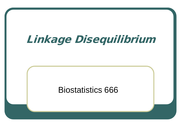# Linkage Disequilibrium

#### Biostatistics 666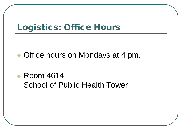### Logistics: Office Hours

- Office hours on Mondays at 4 pm.
- Room 4614 School of Public Health Tower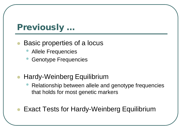# Previously …

#### Basic properties of a locus

- Allele Frequencies
- Genotype Frequencies
- Hardy-Weinberg Equilibrium
	- Relationship between allele and genotype frequencies that holds for most genetic markers

Exact Tests for Hardy-Weinberg Equilibrium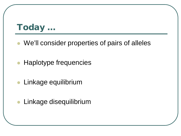# Today …

- We'll consider properties of pairs of alleles
- Haplotype frequencies
- **Linkage equilibrium**
- **Linkage disequilibrium**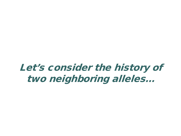# Let's consider the history of two neighboring alleles…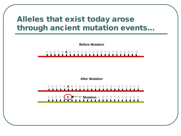#### Alleles that exist today arose through ancient mutation events…

**Before Mutation**

A C G T A **A** G T A C G T A C G T G T A C G A C G

**After Mutation**

A C G T A **A** G T A C G T A C G T G T A C G A C G

A C G T A **C** G T A C G T A C G T G T A C G A C G **Mutation**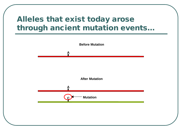#### Alleles that exist today arose through ancient mutation events…

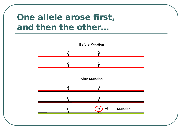## One allele arose first, and then the other…

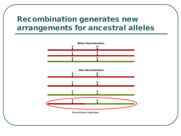#### Recombination generates new arrangements for ancestral alleles

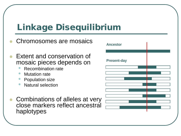# Linkage Disequilibrium

**Ancestor Present-day** Chromosomes are mosaics Extent and conservation of mosaic pieces depends on • Recombination rate **Mutation rate** • Population size • Natural selection Combinations of alleles at very close markers reflect ancestral haplotypes

| <b>Ancestor</b>    |  |
|--------------------|--|
| <b>Present-day</b> |  |
|                    |  |
|                    |  |
|                    |  |
|                    |  |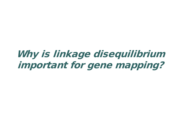# Why is linkage disequilibrium important for gene mapping?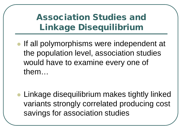# Association Studies and Linkage Disequilibrium

If all polymorphisms were independent at the population level, association studies would have to examine every one of them…

 Linkage disequilibrium makes tightly linked variants strongly correlated producing cost savings for association studies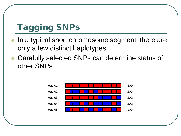# Tagging SNPs

- In a typical short chromosome segment, there are only a few distinct haplotypes
- Carefully selected SNPs can determine status of other SNPs

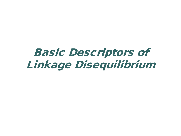# Basic Descriptors of Linkage Disequilibrium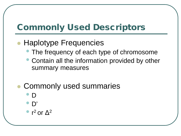# Commonly Used Descriptors

#### • Haplotype Frequencies

- The frequency of each type of chromosome
- Contain all the information provided by other summary measures
- Commonly used summaries
	- <sup>D</sup>
	- D'
	- $\ln^2$  or  $\Delta^2$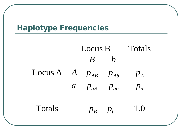#### Haplotype Frequencies

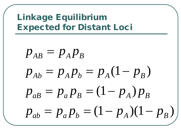# Linkage Equilibrium Expected for Distant Loci

$$
p_{AB} = p_A p_B
$$
  
\n
$$
p_{Ab} = p_A p_b = p_A (1 - p_B)
$$
  
\n
$$
p_{ab} = p_a p_B = (1 - p_A) p_B
$$
  
\n
$$
p_{ab} = p_a p_b = (1 - p_A) (1 - p_B)
$$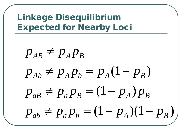Linkage Disequilibrium Expected for Nearby Loci

$$
p_{AB} \neq p_A p_B
$$
  
\n
$$
p_{Ab} \neq p_A p_b = p_A (1 - p_B)
$$
  
\n
$$
p_{ab} \neq p_a p_B = (1 - p_A) p_B
$$
  
\n
$$
p_{ab} \neq p_a p_b = (1 - p_A) (1 - p_B)
$$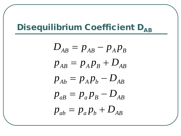# Disequilibrium Coefficient DAB

$$
D_{AB} = p_{AB} - p_A p_B
$$
  
\n
$$
p_{AB} = p_A p_B + D_{AB}
$$
  
\n
$$
p_{Ab} = p_A p_b - D_{AB}
$$
  
\n
$$
p_{ab} = p_a p_B - D_{AB}
$$
  
\n
$$
p_{ab} = p_a p_b + D_{AB}
$$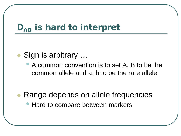# $D_{AB}$  is hard to interpret

#### Sign is arbitrary …

• A common convention is to set A, B to be the common allele and a, b to be the rare allele

#### Range depends on allele frequencies • Hard to compare between markers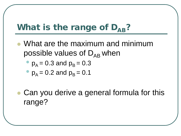# What is the range of  $D_{AB}$ ?

 What are the maximum and minimum possible values of  $D_{AB}$  when

$$
p_A = 0.3
$$
 and  $p_B = 0.3$ 

$$
p_A = 0.2
$$
 and  $p_B = 0.1$ 

• Can you derive a general formula for this range?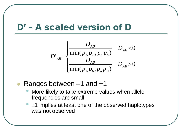#### D' – A scaled version of D

$$
D'_{AB} = \begin{cases} \frac{D_{AB}}{\min(p_A p_B, p_a p_b)} & D_{AB} < 0\\ \frac{D_{AB}}{\min(p_A p_b, p_a p_b)} & D_{AB} > 0 \end{cases}
$$

- Ranges between –1 and +1
	- More likely to take extreme values when allele frequencies are small
	- $\pm$ 1 implies at least one of the observed haplotypes was not observed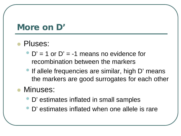#### More on D'

#### Pluses:

- $D' = 1$  or  $D' = -1$  means no evidence for recombination between the markers
- If allele frequencies are similar, high D' means the markers are good surrogates for each other

#### Minuses:

- D' estimates inflated in small samples
- D' estimates inflated when one allele is rare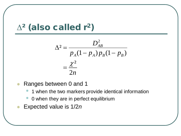# $\Delta^2$  (also called r<sup>2</sup>)

$$
\Delta^2 = \frac{D_{AB}^2}{p_A(1-p_A)p_B(1-p_B)}
$$

$$
= \frac{\chi^2}{2n}
$$

- Ranges between 0 and 1
	- 1 when the two markers provide identical information
	- 0 when they are in perfect equilibrium
- Expected value is 1/2*n*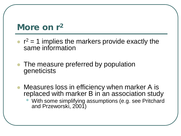#### More on r<sup>2</sup>

- $r^2$  = 1 implies the markers provide exactly the same information
- The measure preferred by population geneticists
- Measures loss in efficiency when marker A is replaced with marker B in an association study • With some simplifying assumptions (e.g. see Pritchard and Przeworski, 2001)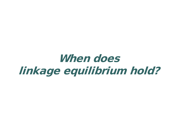# When does linkage equilibrium hold?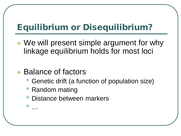# Equilibrium or Disequilibrium?

 We will present simple argument for why linkage equilibrium holds for most loci

#### Balance of factors

- Genetic drift (a function of population size)
- Random mating
- Distance between markers • …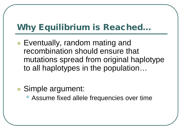# Why Equilibrium is Reached…

- Eventually, random mating and recombination should ensure that mutations spread from original haplotype to all haplotypes in the population…
- Simple argument:
	- Assume fixed allele frequencies over time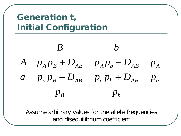# Generation t, Initial Configuration



Assume arbitrary values for the allele frequencies and disequilibrium coefficient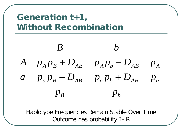# Generation t+1, Without Recombination



Haplotype Frequencies Remain Stable Over Time Outcome has probability 1- R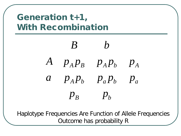# Generation t+1, With Recombination

# $p_B$  *p<sub>b</sub>*  $a$   $p_A p_b$   $p_a p_b$   $p_a$  $A$  *p*<sub>*A*</sub> $p$ <sub>*B*</sub> *p*<sub>*A*</sub> $p$ <sub>*b*</sub> *p*<sub>*A*</sub> *B b*

Haplotype Frequencies Are Function of Allele Frequencies Outcome has probability R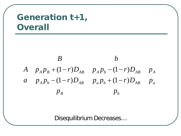### Generation t+1, **Overall**



Disequilibrium Decreases…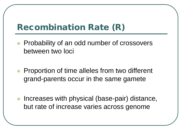# Recombination Rate (R)

- Probability of an odd number of crossovers between two loci
- **Proportion of time alleles from two different** grand-parents occur in the same gamete
- Increases with physical (base-pair) distance, but rate of increase varies across genome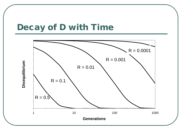#### Decay of D with Time

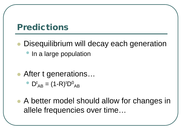#### Predictions

- Disequilibrium will decay each generation
	- In a large population
- After t generations...
	- $D^{t}{}_{AB} = (1 R)^{t} D^{0}{}_{AB}$
- A better model should allow for changes in allele frequencies over time…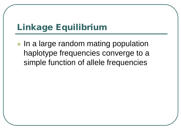# Linkage Equilibrium

• In a large random mating population haplotype frequencies converge to a simple function of allele frequencies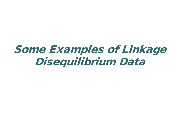# Some Examples of Linkage Disequilibrium Data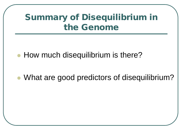# Summary of Disequilibrium in the Genome

• How much disequilibrium is there?

What are good predictors of disequilibrium?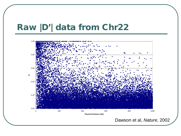#### Raw |D'| data from Chr22

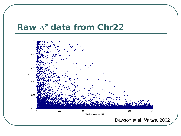#### Raw ∆² data from Chr22

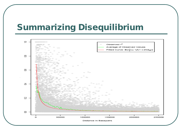#### Summarizing Disequilibrium

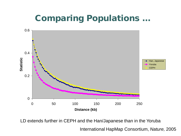# **Comparing Populations ...**



LD extends further in CEPH and the Han/Japanese than in the Yoruba

International HapMap Consortium, *Nature,* 2005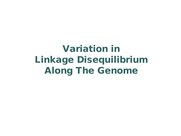Variation in Linkage Disequilibrium Along The Genome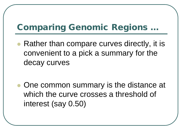# Comparing Genomic Regions …

 Rather than compare curves directly, it is convenient to a pick a summary for the decay curves

• One common summary is the distance at which the curve crosses a threshold of interest (say 0.50)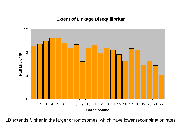#### **Extent of Linkage Disequilibrium**



LD extends further in the larger chromosomes, which have lower recombination rates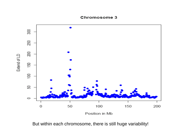

But within each chromosome, there is still huge variability!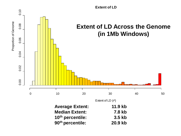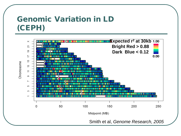#### Genomic Variation in LD (CEPH)

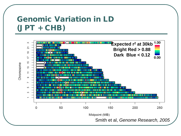#### Genomic Variation in LD (JPT + CHB)

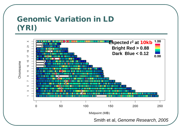#### Genomic Variation in LD (YRI)

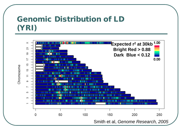#### Genomic Distribution of LD (YRI)

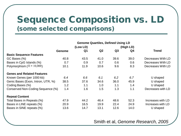#### Sequence Composition vs. LD (some selected comparisons)

|                                    | <b>Genome Quartiles, Defined Using LD</b> |                |                |           |      |                   |  |
|------------------------------------|-------------------------------------------|----------------|----------------|-----------|------|-------------------|--|
|                                    | (Low LD)                                  |                |                | (High LD) |      |                   |  |
|                                    | <b>Genome</b>                             | Q <sub>1</sub> | Q <sub>2</sub> | Q3        | Q4   | <b>Trend</b>      |  |
| <b>Basic Sequence Features</b>     |                                           |                |                |           |      |                   |  |
| GC Bases (%)                       | 40.8                                      | 43.5           | 41.0           | 39.6      | 39.0 | Decreases With LD |  |
| Bases in CpG Islands (%)           | 0.7                                       | 0.9            | 0.7            | 0.6       | 0.6  | Decreases With LD |  |
| Polymorphism ( $\Pi * 10,000$ )    | 10.1                                      | 11.9           | 10.6           | 9.6       | 8.3  | Decreases With LD |  |
| <b>Genes and Related Features</b>  |                                           |                |                |           |      |                   |  |
| Known Genes (per 1000 kb)          | 6.4                                       | 6.6            | 6.1            | 6.2       | 6.7  | U shaped          |  |
| Genic Bases (Exon, Intron, UTR, %) | 38.5                                      | 37.6           | 34.6           | 36.0      | 45.9 | U shaped          |  |
| Coding Bases (%)                   | 1.2                                       | 1.1            | 1.0            | 1.1       | 1.4  | U shaped          |  |
| Conserved Non-Coding Sequence (%)  | 1.4                                       | 1.6            | 1.5            | 1.3       | 1.1  | Decreases with LD |  |
| <b>Repeat Content</b>              |                                           |                |                |           |      |                   |  |
| Total Bases in Repeats (%)         | 47.9                                      | 44.2           | 46.4           | 48.6      | 52.3 | Increases with LD |  |
| Bases in LINE repeats (%)          | 20.9                                      | 16.5           | 19.9           | 22.4      | 24.9 | Increases with LD |  |
| Bases in SINE repeats (%)          | 13.6                                      | 14.7           | 13.1           | 12.6      | 14.0 | U shaped          |  |

Smith et al, *Genome Research, 2005*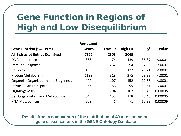# Gene Function in Regions of High and Low Disequilibrium

| Annotated                                    |              |        |                |       |         |  |  |
|----------------------------------------------|--------------|--------|----------------|-------|---------|--|--|
| <b>Gene Function (GO Term)</b>               | <b>Genes</b> | Low LD | <b>High LD</b> | $v^2$ | P-value |  |  |
| <b>All Swissprot Entries Examined</b>        | 7520         | 2305   | 2045           |       |         |  |  |
| DNA metabolism                               | 366          | 74     | 139            | 35.37 | < .0001 |  |  |
| Immune Response                              | 622          | 232    | 94             | 34.36 | < .0001 |  |  |
| Cell cycle                                   | 493          | 119    | 177            | 26.24 | < .0001 |  |  |
| <b>Protein Metabolism</b>                    | 1193         | 318    | 375            | 23.33 | < .0001 |  |  |
| <b>Organelle Organization and Biogenesis</b> | 444          | 107    | 152            | 19.65 | < .0001 |  |  |
| <b>Intracellular Transport</b>               | 263          | 56     | 95             | 19.61 | < .0001 |  |  |
| Organogenesis                                | 805          | 294    | 162            | 16.49 | 0.00005 |  |  |
| <b>Cell Organization and Metabolism</b>      | 545          | 138    | 178            | 16.43 | 0.00005 |  |  |
| <b>RNA Metabollism</b>                       | 208          | 41     | 71             | 15.33 | 0.00009 |  |  |

**Results from a comparison of the distribution of 40 most common gene classifications in the GENE Ontology Database**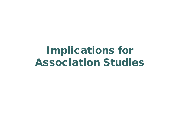# Implications for Association Studies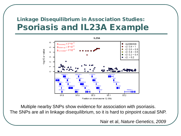#### Linkage Disequilibrium in Association Studies: Psoriasis and IL23A Example



Multiple nearby SNPs show evidence for association with psoriasis. The SNPs are all in linkage disequilibrium, so it is hard to pinpoint causal SNP.

Nair et al, *Nature Genetics, 2009*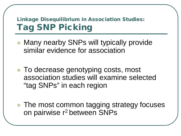#### Linkage Disequilibrium in Association Studies: Tag SNP Picking

- Many nearby SNPs will typically provide similar evidence for association
- To decrease genotyping costs, most association studies will examine selected "tag SNPs" in each region
- The most common tagging strategy focuses on pairwise r2 between SNPs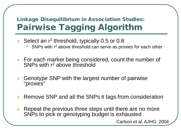#### Linkage Disequilibrium in Association Studies: Pairwise Tagging Algorithm

- Select an r<sup>2</sup> threshold, typically 0.5 or 0.8
	- SNPs with r<sup>2</sup> above threshold can serve as proxies for each other
- For each marker being considered, count the number of SNPs with r2 above threshold
- Genotype SNP with the largest number of pairwise "proxies"
- Remove SNP and all the SNPs it tags from consideration
- Repeat the previous three steps until there are no more SNPs to pick or genotyping budget is exhausted

Carlson et al, AJHG, 2004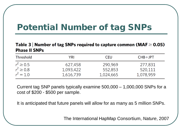# Potential Number of tag SNPs

#### Table 3 | Number of tag SNPs required to capture common (MAF  $\geq$  0.05) **Phase II SNPs**

| <b>Threshold</b> | YRI       | <b>CEU</b> | $CHB+JPT$ |
|------------------|-----------|------------|-----------|
| $r^2 \ge 0.5$    | 627,458   | 290,969    | 277,831   |
| $r^2 \ge 0.8$    | 1,093,422 | 552,853    | 520,111   |
| $r^2 = 1.0$      | 1,616,739 | 1,024,665  | 1,078,959 |

Current tag SNP panels typically examine 500,000 – 1,000,000 SNPs for a cost of \$200 - \$500 per sample.

It is anticipated that future panels will allow for as many as 5 million SNPs.

The International HapMap Consortium, *Nature*, 2007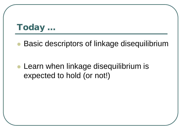# Today …

Basic descriptors of linkage disequilibrium

• Learn when linkage disequilibrium is expected to hold (or not!)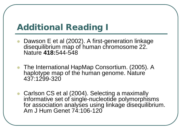### Additional Reading I

- Dawson E et al (2002). A first-generation linkage disequilibrium map of human chromosome 22. Nature **418:**544-548
- The International HapMap Consortium. (2005). A haplotype map of the human genome. Nature 437:1299-320
- Carlson CS et al (2004). Selecting a maximally informative set of single-nucleotide polymorphisms for association analyses using linkage disequilibrium. Am J Hum Genet 74:106-120